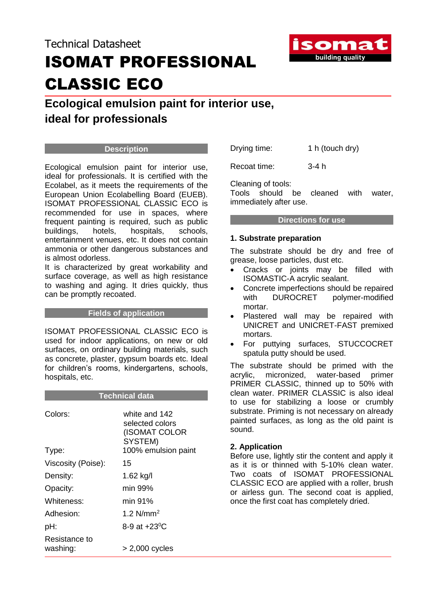# Technical Datasheet ISOMAT PROFESSIONAL CLASSIC ECO



# **Ecological emulsion paint for interior use, ideal for professionals**

# **Description**

Ecological emulsion paint for interior use, ideal for professionals. It is certified with the Ecolabel, as it meets the requirements of the European Union Ecolabelling Board (EUEB). ISOMAT PROFESSIONAL CLASSIC ECO is recommended for use in spaces, where frequent painting is required, such as public buildings, hotels, hospitals, schools, entertainment venues, etc. It does not contain ammonia or other dangerous substances and is almost odorless.

It is characterized by great workability and surface coverage, as well as high resistance to washing and aging. It dries quickly, thus can be promptly recoated.

### **Fields of application**

ISOMAT PROFESSIONAL CLASSIC ECO is used for indoor applications, on new or old surfaces, on ordinary building materials, such as concrete, plaster, gypsum boards etc. Ideal for children's rooms, kindergartens, schools, hospitals, etc.

| <b>Technical data</b>     |                                                                                     |
|---------------------------|-------------------------------------------------------------------------------------|
| Colors:<br>Type:          | white and 142<br>selected colors<br>(ISOMAT COLOR<br>SYSTEM)<br>100% emulsion paint |
| Viscosity (Poise):        | 15                                                                                  |
| Density:                  | 1.62 kg/l                                                                           |
| Opacity:                  | min 99%                                                                             |
| Whiteness:                | min 91%                                                                             |
| Adhesion:                 | 1.2 $N/mm^2$                                                                        |
| pH:                       | 8-9 at $+23^{\circ}$ C                                                              |
| Resistance to<br>washing: | $> 2,000$ cycles                                                                    |

Drying time: 1 h (touch dry)

Recoat time: 3-4 h

Cleaning of tools:

Tools should be cleaned with water, immediately after use.

# **Directions for use**

# **1. Substrate preparation**

The substrate should be dry and free of grease, loose particles, dust etc.

- Cracks or joints may be filled with ISOMASTIC-A acrylic sealant.
- Concrete imperfections should be repaired with DUROCRET polymer-modified mortar.
- Plastered wall may be repaired with UNICRET and UNICRET-FAST premixed mortars.
- For puttying surfaces, STUCCOCRET spatula putty should be used.

The substrate should be primed with the acrylic, micronized, water-based primer PRIMER CLASSIC, thinned up to 50% with clean water. PRIMER CLASSIC is also ideal to use for stabilizing a loose or crumbly substrate. Priming is not necessary on already painted surfaces, as long as the old paint is sound.

# **2. Application**

Before use, lightly stir the content and apply it as it is or thinned with 5-10% clean water. Two coats of ISOMAT PROFESSIONAL CLASSIC ECO are applied with a roller, brush or airless gun. The second coat is applied, once the first coat has completely dried.